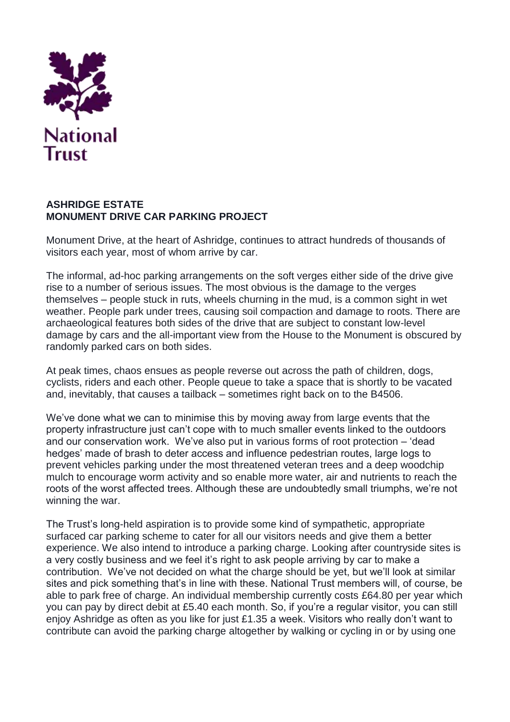

## **ASHRIDGE ESTATE MONUMENT DRIVE CAR PARKING PROJECT**

Monument Drive, at the heart of Ashridge, continues to attract hundreds of thousands of visitors each year, most of whom arrive by car.

The informal, ad-hoc parking arrangements on the soft verges either side of the drive give rise to a number of serious issues. The most obvious is the damage to the verges themselves – people stuck in ruts, wheels churning in the mud, is a common sight in wet weather. People park under trees, causing soil compaction and damage to roots. There are archaeological features both sides of the drive that are subject to constant low-level damage by cars and the all-important view from the House to the Monument is obscured by randomly parked cars on both sides.

At peak times, chaos ensues as people reverse out across the path of children, dogs, cyclists, riders and each other. People queue to take a space that is shortly to be vacated and, inevitably, that causes a tailback – sometimes right back on to the B4506.

We've done what we can to minimise this by moving away from large events that the property infrastructure just can't cope with to much smaller events linked to the outdoors and our conservation work. We've also put in various forms of root protection – 'dead hedges' made of brash to deter access and influence pedestrian routes, large logs to prevent vehicles parking under the most threatened veteran trees and a deep woodchip mulch to encourage worm activity and so enable more water, air and nutrients to reach the roots of the worst affected trees. Although these are undoubtedly small triumphs, we're not winning the war.

The Trust's long-held aspiration is to provide some kind of sympathetic, appropriate surfaced car parking scheme to cater for all our visitors needs and give them a better experience. We also intend to introduce a parking charge. Looking after countryside sites is a very costly business and we feel it's right to ask people arriving by car to make a contribution. We've not decided on what the charge should be yet, but we'll look at similar sites and pick something that's in line with these. National Trust members will, of course, be able to park free of charge. An individual membership currently costs £64.80 per year which you can pay by direct debit at £5.40 each month. So, if you're a regular visitor, you can still enjoy Ashridge as often as you like for just £1.35 a week. Visitors who really don't want to contribute can avoid the parking charge altogether by walking or cycling in or by using one